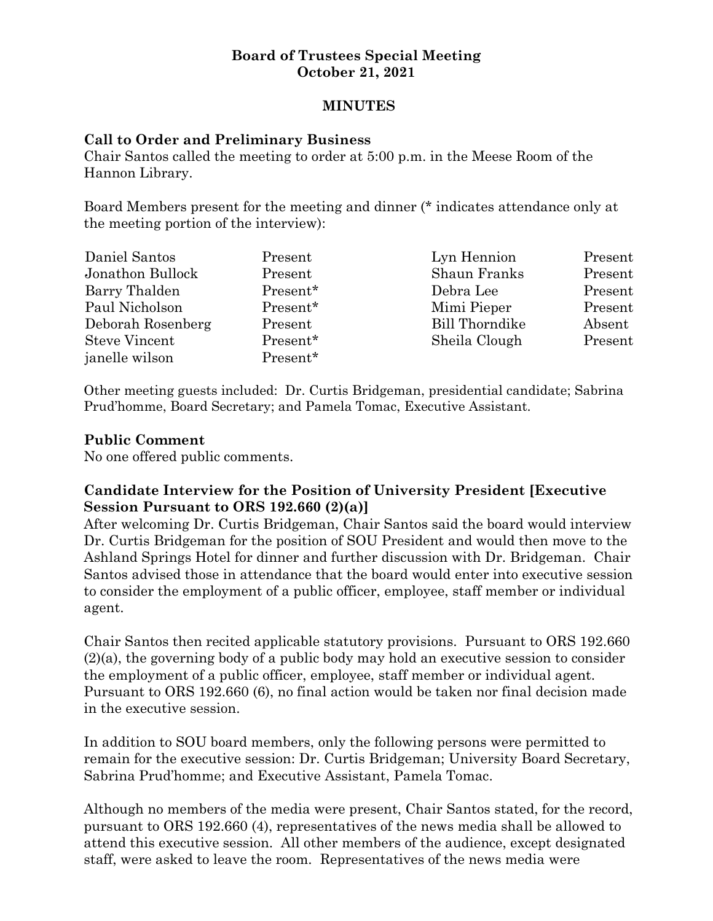#### **Board of Trustees Special Meeting October 21, 2021**

#### **MINUTES**

#### **Call to Order and Preliminary Business**

Chair Santos called the meeting to order at 5:00 p.m. in the Meese Room of the Hannon Library.

Board Members present for the meeting and dinner (\* indicates attendance only at the meeting portion of the interview):

| Daniel Santos        | Present  | Lyn Hennion           | Present |
|----------------------|----------|-----------------------|---------|
| Jonathon Bullock     | Present  | Shaun Franks          | Present |
| Barry Thalden        | Present* | Debra Lee             | Present |
| Paul Nicholson       | Present* | Mimi Pieper           | Present |
| Deborah Rosenberg    | Present  | <b>Bill Thorndike</b> | Absent  |
| <b>Steve Vincent</b> | Present* | Sheila Clough         | Present |
| janelle wilson       | Present* |                       |         |

Other meeting guests included: Dr. Curtis Bridgeman, presidential candidate; Sabrina Prud'homme, Board Secretary; and Pamela Tomac, Executive Assistant.

# **Public Comment**

No one offered public comments.

# **Candidate Interview for the Position of University President [Executive Session Pursuant to ORS 192.660 (2)(a)]**

After welcoming Dr. Curtis Bridgeman, Chair Santos said the board would interview Dr. Curtis Bridgeman for the position of SOU President and would then move to the Ashland Springs Hotel for dinner and further discussion with Dr. Bridgeman. Chair Santos advised those in attendance that the board would enter into executive session to consider the employment of a public officer, employee, staff member or individual agent.

Chair Santos then recited applicable statutory provisions. Pursuant to ORS 192.660 (2)(a), the governing body of a public body may hold an executive session to consider the employment of a public officer, employee, staff member or individual agent. Pursuant to ORS 192.660 (6), no final action would be taken nor final decision made in the executive session.

In addition to SOU board members, only the following persons were permitted to remain for the executive session: Dr. Curtis Bridgeman; University Board Secretary, Sabrina Prud'homme; and Executive Assistant, Pamela Tomac.

Although no members of the media were present, Chair Santos stated, for the record, pursuant to ORS 192.660 (4), representatives of the news media shall be allowed to attend this executive session. All other members of the audience, except designated staff, were asked to leave the room. Representatives of the news media were